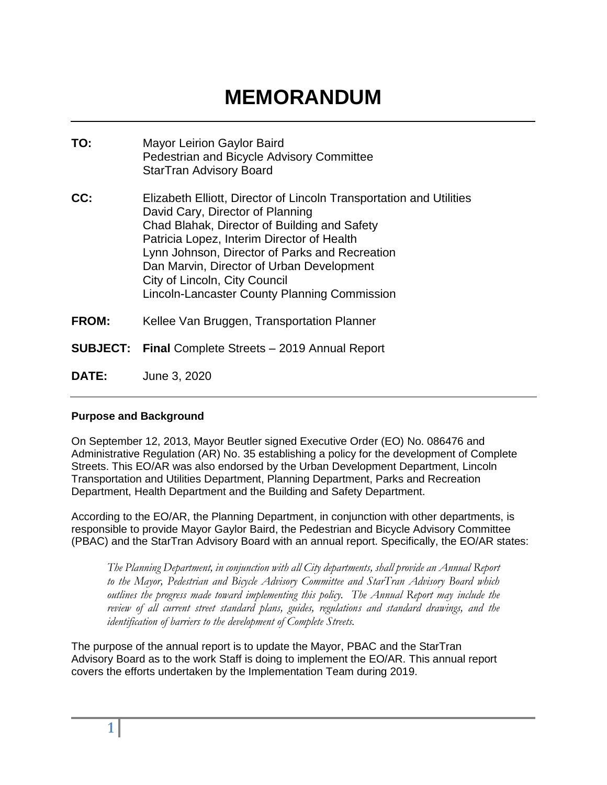# **MEMORANDUM**

| TO:   | <b>Mayor Leirion Gaylor Baird</b><br>Pedestrian and Bicycle Advisory Committee<br><b>StarTran Advisory Board</b>                                                                                                                                                                                                                                                                      |
|-------|---------------------------------------------------------------------------------------------------------------------------------------------------------------------------------------------------------------------------------------------------------------------------------------------------------------------------------------------------------------------------------------|
| CC:   | Elizabeth Elliott, Director of Lincoln Transportation and Utilities<br>David Cary, Director of Planning<br>Chad Blahak, Director of Building and Safety<br>Patricia Lopez, Interim Director of Health<br>Lynn Johnson, Director of Parks and Recreation<br>Dan Marvin, Director of Urban Development<br>City of Lincoln, City Council<br>Lincoln-Lancaster County Planning Commission |
| FROM: | Kellee Van Bruggen, Transportation Planner                                                                                                                                                                                                                                                                                                                                            |
|       | <b>SUBJECT:</b> Final Complete Streets - 2019 Annual Report                                                                                                                                                                                                                                                                                                                           |
| DATE: | June 3, 2020                                                                                                                                                                                                                                                                                                                                                                          |

# **Purpose and Background**

On September 12, 2013, Mayor Beutler signed Executive Order (EO) No. 086476 and Administrative Regulation (AR) No. 35 establishing a policy for the development of Complete Streets. This EO/AR was also endorsed by the Urban Development Department, Lincoln Transportation and Utilities Department, Planning Department, Parks and Recreation Department, Health Department and the Building and Safety Department.

According to the EO/AR, the Planning Department, in conjunction with other departments, is responsible to provide Mayor Gaylor Baird, the Pedestrian and Bicycle Advisory Committee (PBAC) and the StarTran Advisory Board with an annual report. Specifically, the EO/AR states:

*The Planning Department, in conjunction with all City departments, shall provide an Annual Report to the Mayor, Pedestrian and Bicycle Advisory Committee and StarTran Advisory Board which outlines the progress made toward implementing this policy. The Annual Report may include the review of all current street standard plans, guides, regulations and standard drawings, and the identification of barriers to the development of Complete Streets.*

The purpose of the annual report is to update the Mayor, PBAC and the StarTran Advisory Board as to the work Staff is doing to implement the EO/AR. This annual report covers the efforts undertaken by the Implementation Team during 2019.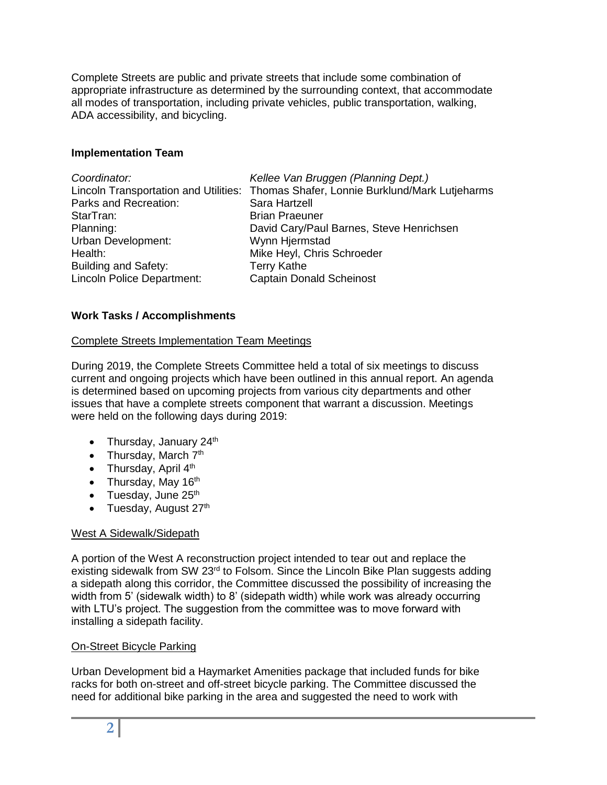Complete Streets are public and private streets that include some combination of appropriate infrastructure as determined by the surrounding context, that accommodate all modes of transportation, including private vehicles, public transportation, walking, ADA accessibility, and bicycling.

# **Implementation Team**

| Coordinator:                | Kellee Van Bruggen (Planning Dept.)                                                  |
|-----------------------------|--------------------------------------------------------------------------------------|
|                             | Lincoln Transportation and Utilities: Thomas Shafer, Lonnie Burklund/Mark Lutjeharms |
| Parks and Recreation:       | Sara Hartzell                                                                        |
| StarTran:                   | <b>Brian Praeuner</b>                                                                |
| Planning:                   | David Cary/Paul Barnes, Steve Henrichsen                                             |
| Urban Development:          | Wynn Hjermstad                                                                       |
| Health:                     | Mike Heyl, Chris Schroeder                                                           |
| <b>Building and Safety:</b> | <b>Terry Kathe</b>                                                                   |
| Lincoln Police Department:  | <b>Captain Donald Scheinost</b>                                                      |

# **Work Tasks / Accomplishments**

# Complete Streets Implementation Team Meetings

During 2019, the Complete Streets Committee held a total of six meetings to discuss current and ongoing projects which have been outlined in this annual report. An agenda is determined based on upcoming projects from various city departments and other issues that have a complete streets component that warrant a discussion. Meetings were held on the following days during 2019:

- Thursday, January  $24<sup>th</sup>$
- Thursday, March  $7<sup>th</sup>$
- Thursday, April  $4<sup>th</sup>$
- Thursday, May  $16<sup>th</sup>$
- $\bullet$  Tuesday, June 25<sup>th</sup>
- $\bullet$  Tuesday, August 27<sup>th</sup>

# West A Sidewalk/Sidepath

A portion of the West A reconstruction project intended to tear out and replace the existing sidewalk from SW 23<sup>rd</sup> to Folsom. Since the Lincoln Bike Plan suggests adding a sidepath along this corridor, the Committee discussed the possibility of increasing the width from 5' (sidewalk width) to 8' (sidepath width) while work was already occurring with LTU's project. The suggestion from the committee was to move forward with installing a sidepath facility.

# On-Street Bicycle Parking

Urban Development bid a Haymarket Amenities package that included funds for bike racks for both on-street and off-street bicycle parking. The Committee discussed the need for additional bike parking in the area and suggested the need to work with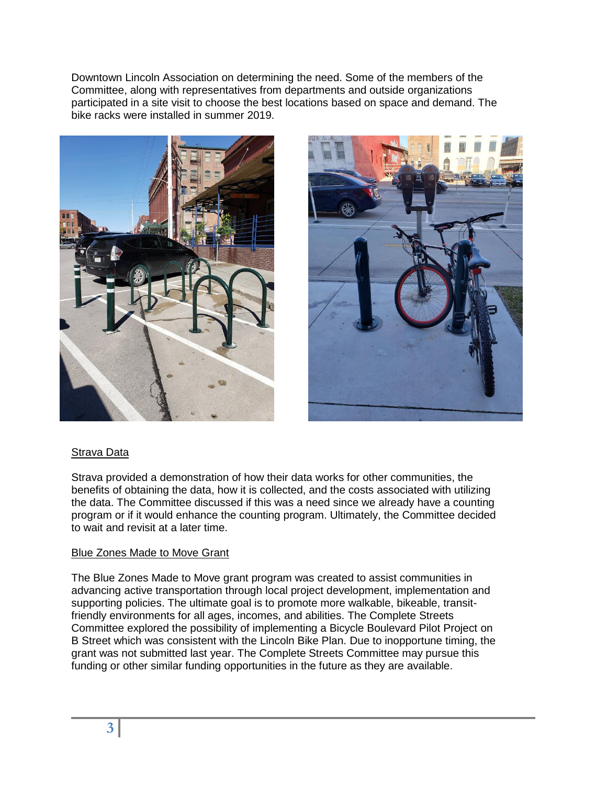Downtown Lincoln Association on determining the need. Some of the members of the Committee, along with representatives from departments and outside organizations participated in a site visit to choose the best locations based on space and demand. The bike racks were installed in summer 2019.





# Strava Data

Strava provided a demonstration of how their data works for other communities, the benefits of obtaining the data, how it is collected, and the costs associated with utilizing the data. The Committee discussed if this was a need since we already have a counting program or if it would enhance the counting program. Ultimately, the Committee decided to wait and revisit at a later time.

# Blue Zones Made to Move Grant

The Blue Zones Made to Move grant program was created to assist communities in advancing active transportation through local project development, implementation and supporting policies. The ultimate goal is to promote more walkable, bikeable, transitfriendly environments for all ages, incomes, and abilities. The Complete Streets Committee explored the possibility of implementing a Bicycle Boulevard Pilot Project on B Street which was consistent with the Lincoln Bike Plan. Due to inopportune timing, the grant was not submitted last year. The Complete Streets Committee may pursue this funding or other similar funding opportunities in the future as they are available.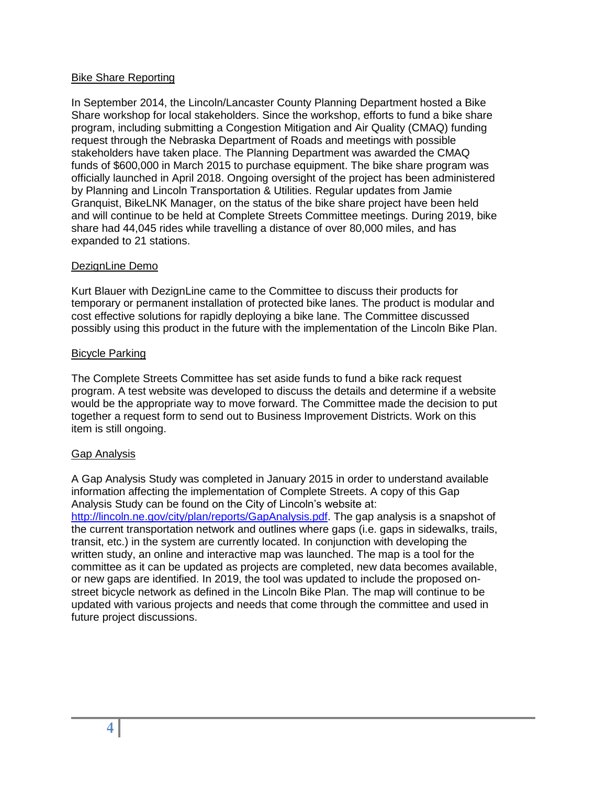# Bike Share Reporting

In September 2014, the Lincoln/Lancaster County Planning Department hosted a Bike Share workshop for local stakeholders. Since the workshop, efforts to fund a bike share program, including submitting a Congestion Mitigation and Air Quality (CMAQ) funding request through the Nebraska Department of Roads and meetings with possible stakeholders have taken place. The Planning Department was awarded the CMAQ funds of \$600,000 in March 2015 to purchase equipment. The bike share program was officially launched in April 2018. Ongoing oversight of the project has been administered by Planning and Lincoln Transportation & Utilities. Regular updates from Jamie Granquist, BikeLNK Manager, on the status of the bike share project have been held and will continue to be held at Complete Streets Committee meetings. During 2019, bike share had 44,045 rides while travelling a distance of over 80,000 miles, and has expanded to 21 stations.

# DezignLine Demo

Kurt Blauer with DezignLine came to the Committee to discuss their products for temporary or permanent installation of protected bike lanes. The product is modular and cost effective solutions for rapidly deploying a bike lane. The Committee discussed possibly using this product in the future with the implementation of the Lincoln Bike Plan.

#### Bicycle Parking

The Complete Streets Committee has set aside funds to fund a bike rack request program. A test website was developed to discuss the details and determine if a website would be the appropriate way to move forward. The Committee made the decision to put together a request form to send out to Business Improvement Districts. Work on this item is still ongoing.

# Gap Analysis

A Gap Analysis Study was completed in January 2015 in order to understand available information affecting the implementation of Complete Streets. A copy of this Gap Analysis Study can be found on the City of Lincoln's website at: [http://lincoln.ne.gov/city/plan/reports/GapAnalysis.pdf.](http://lincoln.ne.gov/city/plan/reports/GapAnalysis.pdf) The gap analysis is a snapshot of the current transportation network and outlines where gaps (i.e. gaps in sidewalks, trails, transit, etc.) in the system are currently located. In conjunction with developing the written study, an online and interactive map was launched. The map is a tool for the committee as it can be updated as projects are completed, new data becomes available, or new gaps are identified. In 2019, the tool was updated to include the proposed onstreet bicycle network as defined in the Lincoln Bike Plan. The map will continue to be updated with various projects and needs that come through the committee and used in future project discussions.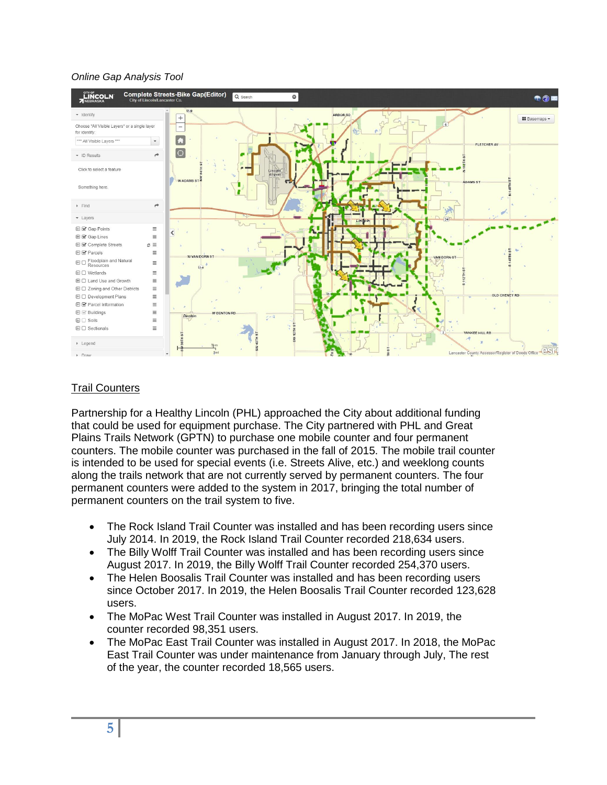# *Online Gap Analysis Tool*



# Trail Counters

Partnership for a Healthy Lincoln (PHL) approached the City about additional funding that could be used for equipment purchase. The City partnered with PHL and Great Plains Trails Network (GPTN) to purchase one mobile counter and four permanent counters. The mobile counter was purchased in the fall of 2015. The mobile trail counter is intended to be used for special events (i.e. Streets Alive, etc.) and weeklong counts along the trails network that are not currently served by permanent counters. The four permanent counters were added to the system in 2017, bringing the total number of permanent counters on the trail system to five.

- The Rock Island Trail Counter was installed and has been recording users since July 2014. In 2019, the Rock Island Trail Counter recorded 218,634 users.
- The Billy Wolff Trail Counter was installed and has been recording users since August 2017. In 2019, the Billy Wolff Trail Counter recorded 254,370 users.
- The Helen Boosalis Trail Counter was installed and has been recording users since October 2017. In 2019, the Helen Boosalis Trail Counter recorded 123,628 users.
- The MoPac West Trail Counter was installed in August 2017. In 2019, the counter recorded 98,351 users.
- The MoPac East Trail Counter was installed in August 2017. In 2018, the MoPac East Trail Counter was under maintenance from January through July, The rest of the year, the counter recorded 18,565 users.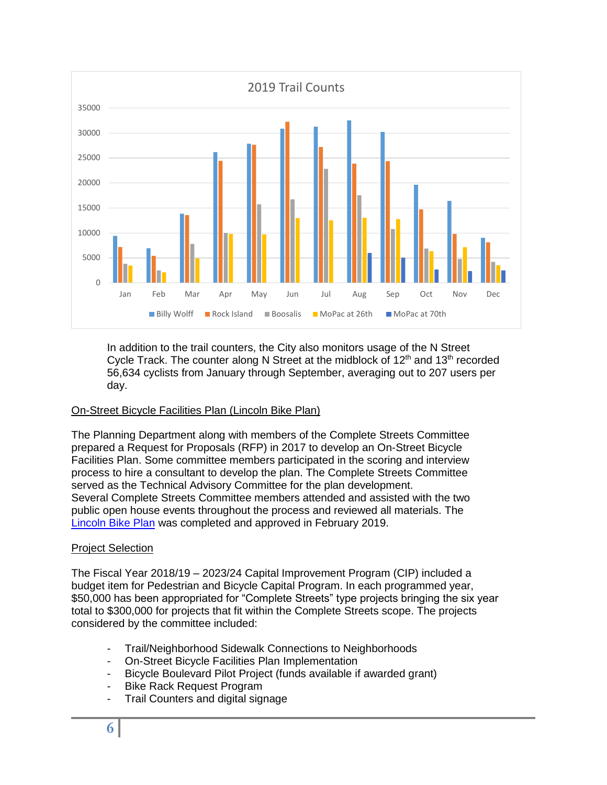

In addition to the trail counters, the City also monitors usage of the N Street Cycle Track. The counter along N Street at the midblock of 12<sup>th</sup> and 13<sup>th</sup> recorded 56,634 cyclists from January through September, averaging out to 207 users per day.

# On-Street Bicycle Facilities Plan (Lincoln Bike Plan)

The Planning Department along with members of the Complete Streets Committee prepared a Request for Proposals (RFP) in 2017 to develop an On-Street Bicycle Facilities Plan. Some committee members participated in the scoring and interview process to hire a consultant to develop the plan. The Complete Streets Committee served as the Technical Advisory Committee for the plan development. Several Complete Streets Committee members attended and assisted with the two public open house events throughout the process and reviewed all materials. The [Lincoln Bike Plan](https://www.lincolnbikeplan.com/) was completed and approved in February 2019.

# Project Selection

The Fiscal Year 2018/19 – 2023/24 Capital Improvement Program (CIP) included a budget item for Pedestrian and Bicycle Capital Program. In each programmed year, \$50,000 has been appropriated for "Complete Streets" type projects bringing the six year total to \$300,000 for projects that fit within the Complete Streets scope. The projects considered by the committee included:

- Trail/Neighborhood Sidewalk Connections to Neighborhoods
- On-Street Bicycle Facilities Plan Implementation
- Bicycle Boulevard Pilot Project (funds available if awarded grant)
- Bike Rack Request Program
- Trail Counters and digital signage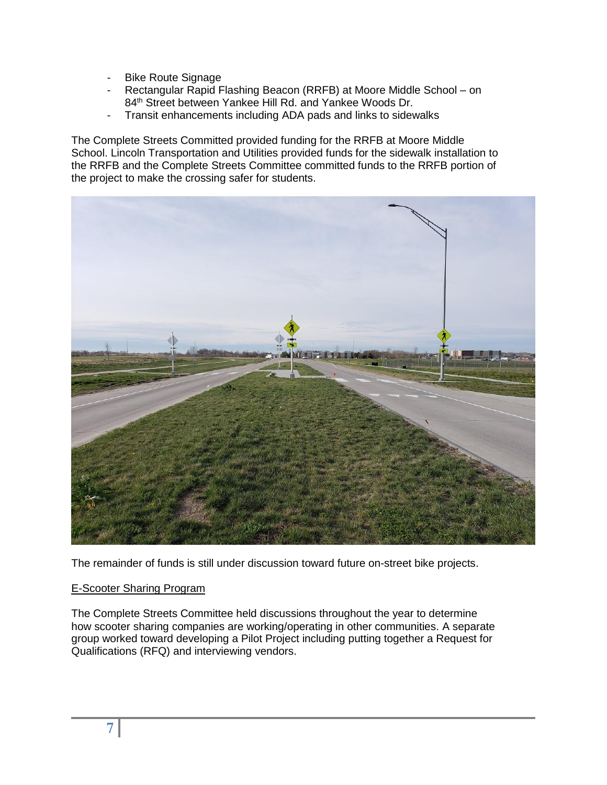- Bike Route Signage
- Rectangular Rapid Flashing Beacon (RRFB) at Moore Middle School on 84<sup>th</sup> Street between Yankee Hill Rd. and Yankee Woods Dr.
- Transit enhancements including ADA pads and links to sidewalks

The Complete Streets Committed provided funding for the RRFB at Moore Middle School. Lincoln Transportation and Utilities provided funds for the sidewalk installation to the RRFB and the Complete Streets Committee committed funds to the RRFB portion of the project to make the crossing safer for students.



The remainder of funds is still under discussion toward future on-street bike projects.

# E-Scooter Sharing Program

The Complete Streets Committee held discussions throughout the year to determine how scooter sharing companies are working/operating in other communities. A separate group worked toward developing a Pilot Project including putting together a Request for Qualifications (RFQ) and interviewing vendors.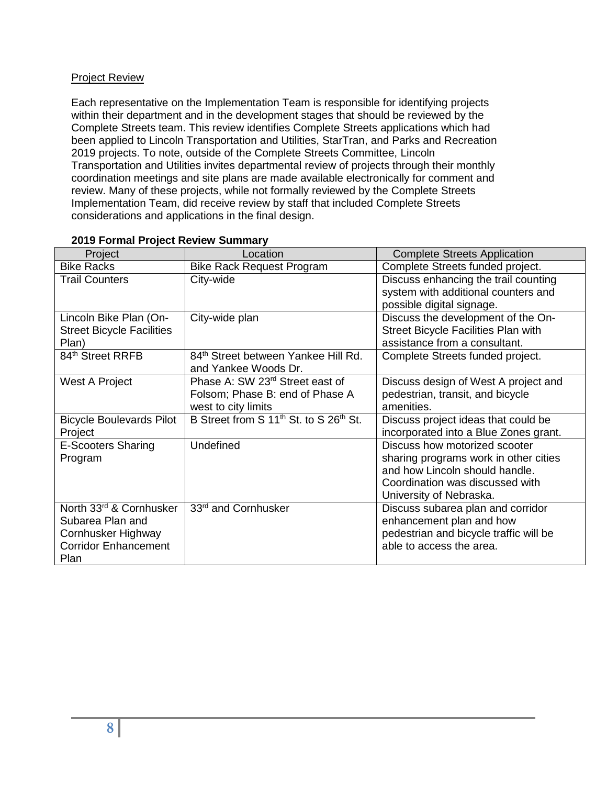# Project Review

Each representative on the Implementation Team is responsible for identifying projects within their department and in the development stages that should be reviewed by the Complete Streets team. This review identifies Complete Streets applications which had been applied to Lincoln Transportation and Utilities, StarTran, and Parks and Recreation 2019 projects. To note, outside of the Complete Streets Committee, Lincoln Transportation and Utilities invites departmental review of projects through their monthly coordination meetings and site plans are made available electronically for comment and review. Many of these projects, while not formally reviewed by the Complete Streets Implementation Team, did receive review by staff that included Complete Streets considerations and applications in the final design.

| Project                                                                                                  | Location                                                                                              | <b>Complete Streets Application</b>                                                                                                                                    |
|----------------------------------------------------------------------------------------------------------|-------------------------------------------------------------------------------------------------------|------------------------------------------------------------------------------------------------------------------------------------------------------------------------|
| <b>Bike Racks</b>                                                                                        | <b>Bike Rack Request Program</b>                                                                      | Complete Streets funded project.                                                                                                                                       |
| <b>Trail Counters</b>                                                                                    | City-wide                                                                                             | Discuss enhancing the trail counting<br>system with additional counters and<br>possible digital signage.                                                               |
| Lincoln Bike Plan (On-<br><b>Street Bicycle Facilities</b><br>Plan)                                      | City-wide plan                                                                                        | Discuss the development of the On-<br>Street Bicycle Facilities Plan with<br>assistance from a consultant.                                                             |
| 84 <sup>th</sup> Street RRFB                                                                             | 84th Street between Yankee Hill Rd.<br>and Yankee Woods Dr.                                           | Complete Streets funded project.                                                                                                                                       |
| West A Project                                                                                           | Phase A: SW 23 <sup>rd</sup> Street east of<br>Folsom; Phase B: end of Phase A<br>west to city limits | Discuss design of West A project and<br>pedestrian, transit, and bicycle<br>amenities.                                                                                 |
| <b>Bicycle Boulevards Pilot</b><br>Project                                                               | B Street from S 11 <sup>th</sup> St. to S 26 <sup>th</sup> St.                                        | Discuss project ideas that could be<br>incorporated into a Blue Zones grant.                                                                                           |
| <b>E-Scooters Sharing</b><br>Program                                                                     | Undefined                                                                                             | Discuss how motorized scooter<br>sharing programs work in other cities<br>and how Lincoln should handle.<br>Coordination was discussed with<br>University of Nebraska. |
| North 33rd & Cornhusker<br>Subarea Plan and<br>Cornhusker Highway<br><b>Corridor Enhancement</b><br>Plan | 33rd and Cornhusker                                                                                   | Discuss subarea plan and corridor<br>enhancement plan and how<br>pedestrian and bicycle traffic will be<br>able to access the area.                                    |

# **2019 Formal Project Review Summary**